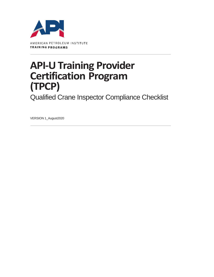

## **API-U Training Provider Certification Program (TPCP)**

Qualified Crane Inspector Compliance Checklist

VERSION 1\_August2020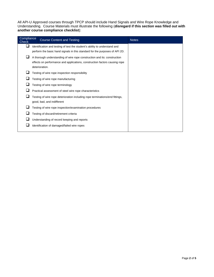All API-U Approved courses through TPCP should include Hand Signals and Wire Rope Knowledge and Understanding. Course Materials must illustrate the following (**disregard if this section was filled out with another course compliance checklist**):

| Compliance<br>Check |                                                         | <b>Course Content and Testing</b>                                            | <b>Notes</b> |
|---------------------|---------------------------------------------------------|------------------------------------------------------------------------------|--------------|
|                     |                                                         | Identification and testing of test the student's ability to understand and   |              |
|                     |                                                         | perform the basic hand signals in this standard for the purposes of API 2D.  |              |
|                     |                                                         | A thorough understanding of wire rope construction and its: construction     |              |
|                     |                                                         | effects on performance and applications, construction factors causing rope   |              |
|                     |                                                         | deterioration.                                                               |              |
|                     | Testing of wire rope inspection responsibility          |                                                                              |              |
|                     | Testing of wire rope manufacturing                      |                                                                              |              |
|                     | Testing of wire rope terminology                        |                                                                              |              |
|                     | Practical assessment of steel wire rope characteristics |                                                                              |              |
|                     |                                                         | Testing of wire rope deterioration including rope terminations/end fittings, |              |
|                     |                                                         | good, bad, and indifferent                                                   |              |
|                     |                                                         | Testing of wire rope inspection/examination procedures                       |              |
|                     |                                                         | Testing of discard/retirement criteria                                       |              |
|                     |                                                         | Understanding of record keeping and reports                                  |              |
|                     |                                                         | Identification of damaged/failed wire ropes                                  |              |
|                     |                                                         |                                                                              |              |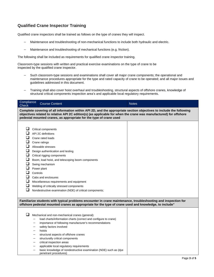## **Qualified Crane Inspector Training**

Qualified crane inspectors shall be trained as follows on the type of cranes they will inspect.

- Maintenance and troubleshooting of non-mechanical functions to include both hydraulic and electric.
- Maintenance and troubleshooting of mechanical functions (e.g. friction).

The following shall be included as requirements for qualified crane inspector training.

Classroom-type sessions with written and practical exercise examinations on the type of crane to be inspected by the qualified crane inspector.

- Such classroom-type sessions and examinations shall cover all major crane components; the operational and maintenance procedures appropriate for the type and rated capacity of crane to be operated; and all major issues and guidelines addressed in this document.
- Training shall also cover hoist overhaul and troubleshooting, structural aspects of offshore cranes, knowledge of structural critical components inspection area's and applicable local regulatory requirements.

| Compliance<br><b>Check</b>                                                                                                                                                                                                                                                                                     |          | <b>Course Content</b>                                                                                                                                                                                                                                                                                                                                                                                                                                                | <b>Notes</b> |  |  |  |  |
|----------------------------------------------------------------------------------------------------------------------------------------------------------------------------------------------------------------------------------------------------------------------------------------------------------------|----------|----------------------------------------------------------------------------------------------------------------------------------------------------------------------------------------------------------------------------------------------------------------------------------------------------------------------------------------------------------------------------------------------------------------------------------------------------------------------|--------------|--|--|--|--|
| Complete covering of all information within API 2D, and the appropriate section objectives to include the following<br>objectives related to relative API 2C edition(s) (as applicable for when the crane was manufactured) for offshore<br>pedestal mounted cranes, as appropriate for the type of crane used |          |                                                                                                                                                                                                                                                                                                                                                                                                                                                                      |              |  |  |  |  |
| ❏<br>$\Box$<br>$\Box$<br>$\Box$<br>❏<br>$\Box$<br>$\Box$<br>$\Box$<br>$\Box$<br>□<br>⊔                                                                                                                                                                                                                         | Controls | Critical components<br>API 2C definitions<br>Crane rated loads<br>Crane ratings<br>Allowable stresses<br>Design authentication and testing<br>Critical rigging components<br>Boom, load hoist, and telescoping boom components<br>Swing mechanism<br>Power plant<br>Cabs and enclosures<br>Miscellaneous requirements and equipment<br>Welding of critically stressed components<br>Nondestructive examination (NDE) of critical components;                         |              |  |  |  |  |
| Familiarize students with typical problems encounter in crane maintenance, troubleshooting and inspection for<br>offshore pedestal mounted cranes as appropriate for the type of crane used and knowledge, to include"                                                                                         |          |                                                                                                                                                                                                                                                                                                                                                                                                                                                                      |              |  |  |  |  |
| $\sqcup$                                                                                                                                                                                                                                                                                                       | -        | Mechanical and non-mechanical cranes (general):<br>load charts/information charts (correct and configure to crane)<br>importance of following manufacturer's recommendations<br>safety factors involved<br>hoists<br>structural aspects of offshore cranes<br>structurally critical components<br>critical inspection areas<br>applicable local regulatory requirements<br>basic knowledge of nondestructive examination (NDE) such as (dye<br>penetrant procedures) |              |  |  |  |  |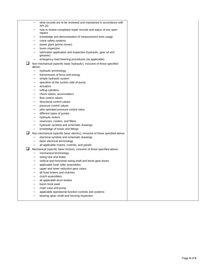|   |        | what records are to be reviewed and maintained in accordance with<br>API 2D   |
|---|--------|-------------------------------------------------------------------------------|
|   |        | how to review completed repair records and status of any open<br>repairs      |
|   |        | knowledge and demonstration of measurement tools usage                        |
|   |        | crane safety systems                                                          |
|   |        | power plant (prime mover)                                                     |
|   |        | boom inspection                                                               |
|   |        | lubrication application and inspection (hydraulic, gear oil and<br>greases)   |
|   |        | emergency load lowering procedures (as applicable)                            |
| ப | above: | Non-mechanical (specific basic hydraulic), inclusive of those specified       |
|   |        | hydraulic terminology                                                         |
|   |        | transmission of force and energy                                              |
|   |        | simple hydraulic system                                                       |
|   |        | operation at the suction side of pump                                         |
|   |        | actuators                                                                     |
|   |        | luffing cylinders                                                             |
|   |        | check valves, accumulators                                                    |
|   |        | flow control values                                                           |
|   |        | directional control values                                                    |
|   |        | pressure control values                                                       |
|   |        | pilot operated pressure control valve                                         |
|   |        | different types of pumps                                                      |
|   |        | hydraulic motors                                                              |
|   |        | reservoirs, coolers, and filters                                              |
|   |        | hydraulic symbols and schematic drawings                                      |
|   |        | knowledge of hoses and fittings                                               |
|   |        | Non-mechanical (specific basic electric), inclusive of those specified above: |
|   | -      | electrical symbols and schematic drawings                                     |
|   |        | basic electrical terminology                                                  |
|   |        | all applicable motors, controls, and panels                                   |
|   |        | Mechanical (specific basic friction), inclusive of those specified above:     |
|   | -      | mechanical terminology                                                        |
|   |        | swing lock and brake                                                          |
|   |        | vertical and horizontal swing shaft and bevel gear boxes                      |
|   |        | applicable hook roller assemblies                                             |
|   |        | upper and lower reduction gear cases                                          |
|   |        | all hoist brakes and clutches                                                 |
|   |        | clutch assemblies                                                             |
|   |        | all applicable drum brakes                                                    |
|   |        | boom hoist pawl                                                               |
|   |        | chain case and pump                                                           |
|   |        | applicable operational function controls and systems                          |
|   |        | bearing-gear-shaft and housing inspection                                     |
|   |        |                                                                               |